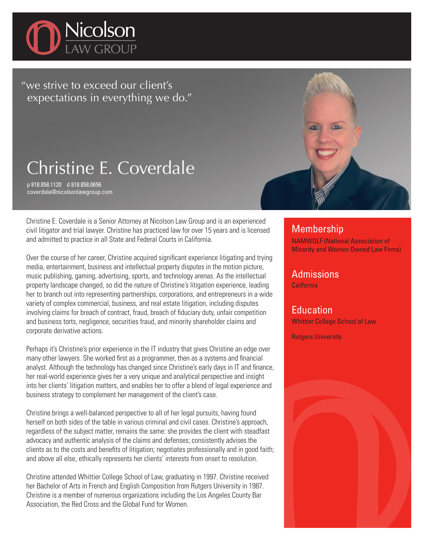

"we strive to exceed our client's expectations in everything we do."

## Christine E. Coverdale

p 818.858.1120 d 818.858.0656 coverdale@nicolsonlawgroup.com

Christine E. Coverdale is a Senior Attorney at Nicolson Law Group and is an experienced civil litigator and trial lawyer. Christine has practiced law for over 15 years and is licensed and admitted to practice in all State and Federal Courts in California.

Over the course of her career, Christine acquired significant experience litigating and trying media, entertainment, business and intellectual property disputes in the motion picture, music publishing, gaming, advertising, sports, and technology arenas. As the intellectual property landscape changed, so did the nature of Christine's litigation experience, leading her to branch out into representing partnerships, corporations, and entrepreneurs in a wide variety of complex commercial, business, and real estate litigation, including disputes involving claims for breach of contract, fraud, breach of fiduciary duty, unfair competition and business torts, negligence, securities fraud, and minority shareholder claims and corporate derivative actions.

Perhaps it's Christine's prior experience in the IT industry that gives Christine an edge over many other lawyers. She worked first as a programmer, then as a systems and financial analyst. Although the technology has changed since Christine's early days in IT and finance, her real-world experience gives her a very unique and analytical perspective and insight into her clients' litigation matters, and enables her to offer a blend of legal experience and business strategy to complement her management of the client's case.

Christine brings a well-balanced perspective to all of her legal pursuits, having found herself on both sides of the table in various criminal and civil cases. Christine's approach, regardless of the subject matter, remains the same: she provides the client with steadfast advocacy and authentic analysis of the claims and defenses; consistently advises the clients as to the costs and benefits of litigation; negotiates professionally and in good faith; and above all else, ethically represents her clients' interests from onset to resolution.

Christine attended Whittier College School of Law, graduating in 1997. Christine received her Bachelor of Arts in French and English Composition from Rutgers University in 1987. Christine is a member of numerous organizations including the Los Angeles County Bar Association, the Red Cross and the Global Fund for Women.



## **Membership**

NAMWOLF (National Association of Minority and Women Owned Law Firms)

Admissions

California

**Education** Whittier College School of Law

Rutgers University